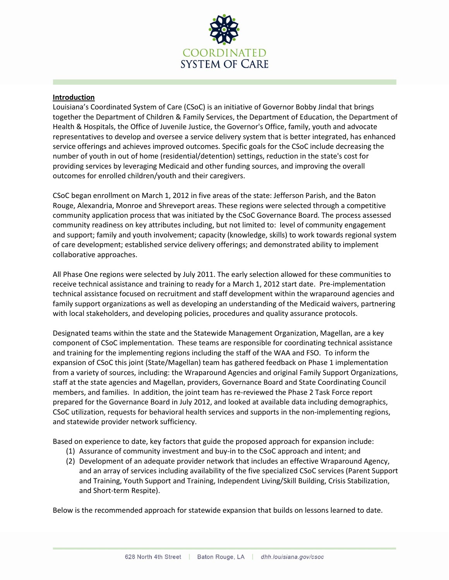

## **Introduction**

Louisiana's Coordinated System of Care (CSoC) is an initiative of Governor Bobby Jindal that brings together the Department of Children & Family Services, the Department of Education, the Department of Health & Hospitals, the Office of Juvenile Justice, the Governor's Office, family, youth and advocate representatives to develop and oversee a service delivery system that is better integrated, has enhanced service offerings and achieves improved outcomes. Specific goals for the CSoC include decreasing the number of youth in out of home (residential/detention) settings, reduction in the state's cost for providing services by leveraging Medicaid and other funding sources, and improving the overall outcomes for enrolled children/youth and their caregivers.

CSoC began enrollment on March 1, 2012 in five areas of the state: Jefferson Parish, and the Baton Rouge, Alexandria, Monroe and Shreveport areas. These regions were selected through a competitive community application process that was initiated by the CSoC Governance Board. The process assessed community readiness on key attributes including, but not limited to: level of community engagement and support; family and youth involvement; capacity (knowledge, skills) to work towards regional system of care development; established service delivery offerings; and demonstrated ability to implement collaborative approaches.

All Phase One regions were selected by July 2011. The early selection allowed for these communities to receive technical assistance and training to ready for a March 1, 2012 start date. Pre-implementation technical assistance focused on recruitment and staff development within the wraparound agencies and family support organizations as well as developing an understanding of the Medicaid waivers, partnering with local stakeholders, and developing policies, procedures and quality assurance protocols.

Designated teams within the state and the Statewide Management Organization, Magellan, are a key component of CSoC implementation. These teams are responsible for coordinating technical assistance and training for the implementing regions including the staff of the WAA and FSO. To inform the expansion of CSoC this joint (State/Magellan) team has gathered feedback on Phase 1 implementation from a variety of sources, including: the Wraparound Agencies and original Family Support Organizations, staff at the state agencies and Magellan, providers, Governance Board and State Coordinating Council members, and families. In addition, the joint team has re-reviewed the Phase 2 Task Force report prepared for the Governance Board in July 2012, and looked at available data including demographics, CSoC utilization, requests for behavioral health services and supports in the non-implementing regions, and statewide provider network sufficiency.

Based on experience to date, key factors that guide the proposed approach for expansion include:

- (1) Assurance of community investment and buy-in to the CSoC approach and intent; and
- (2) Development of an adequate provider network that includes an effective Wraparound Agency, and an array of services including availability of the five specialized CSoC services (Parent Support and Training, Youth Support and Training, Independent Living/Skill Building, Crisis Stabilization, and Short-term Respite).

Below is the recommended approach for statewide expansion that builds on lessons learned to date.